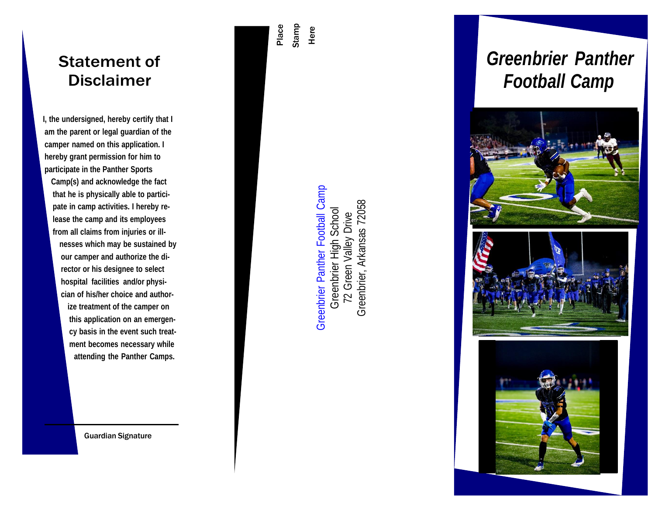## Statement of Disclaimer

**I, the undersigned, hereby certify that I am the parent or legal guardian of the camper named on this application. I hereby grant permission for him to participate in the Panther Sports**

**Camp(s) and acknowledge the fact that he is physically able to partici pate in camp activities. I hereby re lease the camp and its employees from all claims from injuries or ill nesses which may be sustained by our camper and authorize the di rector or his designee to select hospital facilities and/or physi cian of his/her choice and author ize treatment of the camper on this application on an emergen cy basis in the event such treat ment becomes necessary while attending the Panther Camps.**

Guardian Signature

Place Stamp Here

> Greenbrier Panther Football Camp Greenbrier Panther Football Camp Greenbrier, Arkansas 72058 Greenbrier, Arkansas 72058Greenbrier High School Greenbrier High School 72 Green Valley Drive 72 Green Valley Drive

# *Greenbrier Panther Football Camp*